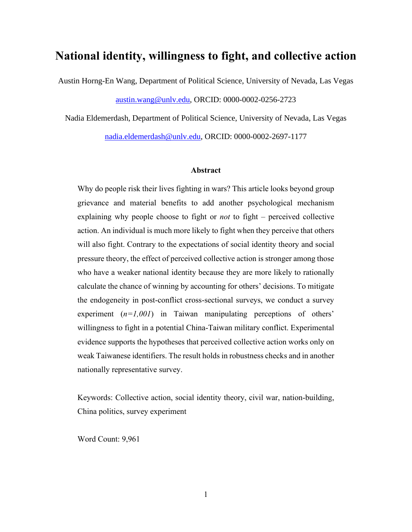# **National identity, willingness to fight, and collective action**

Austin Horng-En Wang, Department of Political Science, University of Nevada, Las Vegas

[austin.wang@unlv.edu,](mailto:austin.wang@unlv.edu) ORCID: 0000-0002-0256-2723

Nadia Eldemerdash, Department of Political Science, University of Nevada, Las Vegas [nadia.eldemerdash@unlv.edu,](mailto:nadia.eldemerdash@unlv.edu) ORCID: 0000-0002-2697-1177

#### **Abstract**

Why do people risk their lives fighting in wars? This article looks beyond group grievance and material benefits to add another psychological mechanism explaining why people choose to fight or *not* to fight – perceived collective action. An individual is much more likely to fight when they perceive that others will also fight. Contrary to the expectations of social identity theory and social pressure theory, the effect of perceived collective action is stronger among those who have a weaker national identity because they are more likely to rationally calculate the chance of winning by accounting for others' decisions. To mitigate the endogeneity in post-conflict cross-sectional surveys, we conduct a survey experiment (*n*=1,001) in Taiwan manipulating perceptions of others' willingness to fight in a potential China-Taiwan military conflict. Experimental evidence supports the hypotheses that perceived collective action works only on weak Taiwanese identifiers. The result holds in robustness checks and in another nationally representative survey.

Keywords: Collective action, social identity theory, civil war, nation-building, China politics, survey experiment

Word Count: 9,961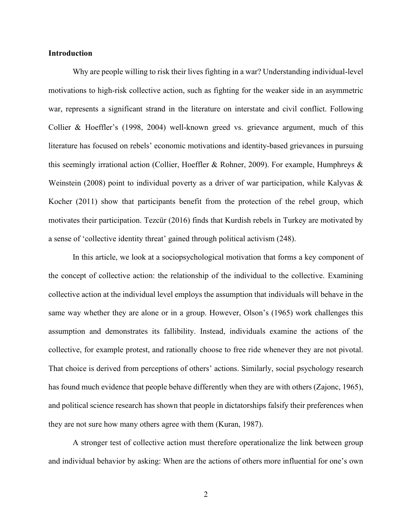## **Introduction**

Why are people willing to risk their lives fighting in a war? Understanding individual-level motivations to high-risk collective action, such as fighting for the weaker side in an asymmetric war, represents a significant strand in the literature on interstate and civil conflict. Following Collier & Hoeffler's (1998, 2004) well-known greed vs. grievance argument, much of this literature has focused on rebels' economic motivations and identity-based grievances in pursuing this seemingly irrational action (Collier, Hoeffler & Rohner, 2009). For example, Humphreys  $\&$ Weinstein (2008) point to individual poverty as a driver of war participation, while Kalyvas & Kocher (2011) show that participants benefit from the protection of the rebel group, which motivates their participation. Tezcür (2016) finds that Kurdish rebels in Turkey are motivated by a sense of 'collective identity threat' gained through political activism (248).

In this article, we look at a sociopsychological motivation that forms a key component of the concept of collective action: the relationship of the individual to the collective. Examining collective action at the individual level employs the assumption that individuals will behave in the same way whether they are alone or in a group. However, Olson's (1965) work challenges this assumption and demonstrates its fallibility. Instead, individuals examine the actions of the collective, for example protest, and rationally choose to free ride whenever they are not pivotal. That choice is derived from perceptions of others' actions. Similarly, social psychology research has found much evidence that people behave differently when they are with others (Zajonc, 1965), and political science research has shown that people in dictatorships falsify their preferences when they are not sure how many others agree with them (Kuran, 1987).

A stronger test of collective action must therefore operationalize the link between group and individual behavior by asking: When are the actions of others more influential for one's own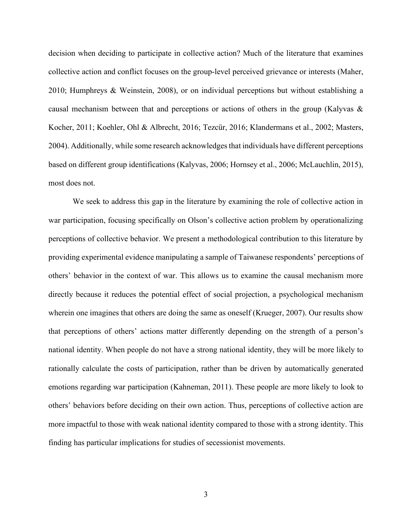decision when deciding to participate in collective action? Much of the literature that examines collective action and conflict focuses on the group-level perceived grievance or interests (Maher, 2010; Humphreys & Weinstein, 2008), or on individual perceptions but without establishing a causal mechanism between that and perceptions or actions of others in the group (Kalyvas & Kocher, 2011; Koehler, Ohl & Albrecht, 2016; Tezcür, 2016; Klandermans et al., 2002; Masters, 2004). Additionally, while some research acknowledges that individuals have different perceptions based on different group identifications (Kalyvas, 2006; Hornsey et al., 2006; McLauchlin, 2015), most does not.

We seek to address this gap in the literature by examining the role of collective action in war participation, focusing specifically on Olson's collective action problem by operationalizing perceptions of collective behavior. We present a methodological contribution to this literature by providing experimental evidence manipulating a sample of Taiwanese respondents' perceptions of others' behavior in the context of war. This allows us to examine the causal mechanism more directly because it reduces the potential effect of social projection, a psychological mechanism wherein one imagines that others are doing the same as oneself (Krueger, 2007). Our results show that perceptions of others' actions matter differently depending on the strength of a person's national identity. When people do not have a strong national identity, they will be more likely to rationally calculate the costs of participation, rather than be driven by automatically generated emotions regarding war participation (Kahneman, 2011). These people are more likely to look to others' behaviors before deciding on their own action. Thus, perceptions of collective action are more impactful to those with weak national identity compared to those with a strong identity. This finding has particular implications for studies of secessionist movements.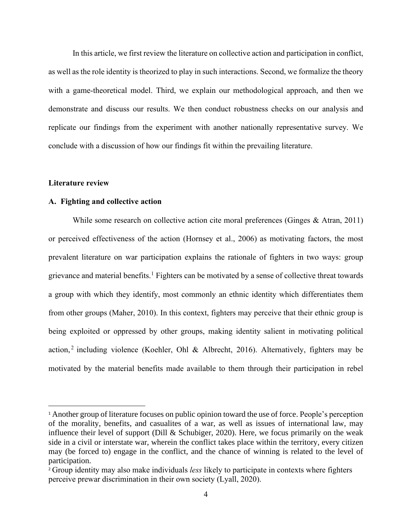In this article, we first review the literature on collective action and participation in conflict, as well as the role identity is theorized to play in such interactions. Second, we formalize the theory with a game-theoretical model. Third, we explain our methodological approach, and then we demonstrate and discuss our results. We then conduct robustness checks on our analysis and replicate our findings from the experiment with another nationally representative survey. We conclude with a discussion of how our findings fit within the prevailing literature.

#### **Literature review**

## **A. Fighting and collective action**

While some research on collective action cite moral preferences (Ginges & Atran, 2011) or perceived effectiveness of the action (Hornsey et al., 2006) as motivating factors, the most prevalent literature on war participation explains the rationale of fighters in two ways: group grievance and material benefits.<sup>1</sup> Fighters can be motivated by a sense of collective threat towards a group with which they identify, most commonly an ethnic identity which differentiates them from other groups (Maher, 2010). In this context, fighters may perceive that their ethnic group is being exploited or oppressed by other groups, making identity salient in motivating political action,<sup>2</sup> including violence (Koehler, Ohl & Albrecht, 2016). Alternatively, fighters may be motivated by the material benefits made available to them through their participation in rebel

<sup>&</sup>lt;sup>1</sup> Another group of literature focuses on public opinion toward the use of force. People's perception of the morality, benefits, and casualites of a war, as well as issues of international law, may influence their level of support (Dill & Schubiger, 2020). Here, we focus primarily on the weak side in a civil or interstate war, wherein the conflict takes place within the territory, every citizen may (be forced to) engage in the conflict, and the chance of winning is related to the level of participation.

<sup>2</sup> Group identity may also make individuals *less* likely to participate in contexts where fighters perceive prewar discrimination in their own society (Lyall, 2020).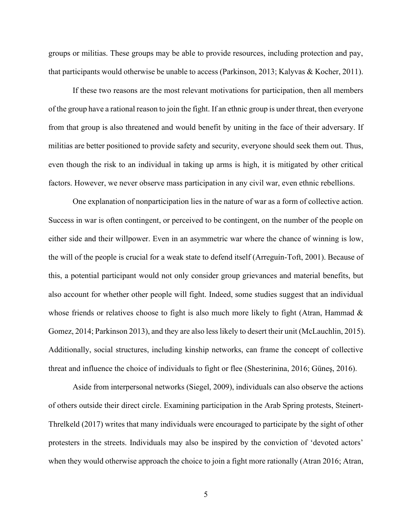groups or militias. These groups may be able to provide resources, including protection and pay, that participants would otherwise be unable to access (Parkinson, 2013; Kalyvas & Kocher, 2011).

If these two reasons are the most relevant motivations for participation, then all members of the group have a rational reason to join the fight. If an ethnic group is under threat, then everyone from that group is also threatened and would benefit by uniting in the face of their adversary. If militias are better positioned to provide safety and security, everyone should seek them out. Thus, even though the risk to an individual in taking up arms is high, it is mitigated by other critical factors. However, we never observe mass participation in any civil war, even ethnic rebellions.

One explanation of nonparticipation lies in the nature of war as a form of collective action. Success in war is often contingent, or perceived to be contingent, on the number of the people on either side and their willpower. Even in an asymmetric war where the chance of winning is low, the will of the people is crucial for a weak state to defend itself (Arreguín-Toft, 2001). Because of this, a potential participant would not only consider group grievances and material benefits, but also account for whether other people will fight. Indeed, some studies suggest that an individual whose friends or relatives choose to fight is also much more likely to fight (Atran, Hammad  $\&$ Gomez, 2014; Parkinson 2013), and they are also less likely to desert their unit (McLauchlin, 2015). Additionally, social structures, including kinship networks, can frame the concept of collective threat and influence the choice of individuals to fight or flee (Shesterinina, 2016; Güneş, 2016).

Aside from interpersonal networks (Siegel, 2009), individuals can also observe the actions of others outside their direct circle. Examining participation in the Arab Spring protests, Steinert-Threlkeld (2017) writes that many individuals were encouraged to participate by the sight of other protesters in the streets. Individuals may also be inspired by the conviction of 'devoted actors' when they would otherwise approach the choice to join a fight more rationally (Atran 2016; Atran,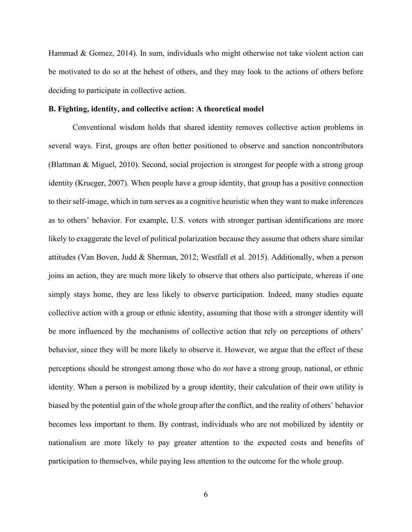Hammad & Gomez, 2014). In sum, individuals who might otherwise not take violent action can be motivated to do so at the behest of others, and they may look to the actions of others before deciding to participate in collective action.

#### **B. Fighting, identity, and collective action: A theoretical model**

Conventional wisdom holds that shared identity removes collective action problems in several ways. First, groups are often better positioned to observe and sanction noncontributors (Blattman & Miguel, 2010). Second, social projection is strongest for people with a strong group identity (Krueger, 2007). When people have a group identity, that group has a positive connection to their self-image, which in turn serves as a cognitive heuristic when they want to make inferences as to others' behavior. For example, U.S. voters with stronger partisan identifications are more likely to exaggerate the level of political polarization because they assume that others share similar attitudes (Van Boven, Judd & Sherman, 2012; Westfall et al. 2015). Additionally, when a person joins an action, they are much more likely to observe that others also participate, whereas if one simply stays home, they are less likely to observe participation. Indeed, many studies equate collective action with a group or ethnic identity, assuming that those with a stronger identity will be more influenced by the mechanisms of collective action that rely on perceptions of others' behavior, since they will be more likely to observe it. However, we argue that the effect of these perceptions should be strongest among those who do *not* have a strong group, national, or ethnic identity. When a person is mobilized by a group identity, their calculation of their own utility is biased by the potential gain of the whole group after the conflict, and the reality of others' behavior becomes less important to them. By contrast, individuals who are not mobilized by identity or nationalism are more likely to pay greater attention to the expected costs and benefits of participation to themselves, while paying less attention to the outcome for the whole group.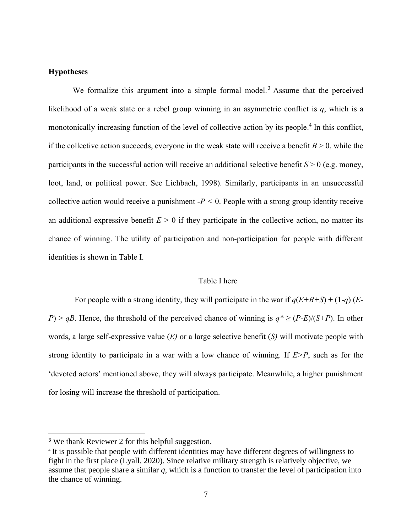# **Hypotheses**

We formalize this argument into a simple formal model.<sup>3</sup> Assume that the perceived likelihood of a weak state or a rebel group winning in an asymmetric conflict is *q*, which is a monotonically increasing function of the level of collective action by its people.<sup>4</sup> In this conflict, if the collective action succeeds, everyone in the weak state will receive a benefit  $B > 0$ , while the participants in the successful action will receive an additional selective benefit  $S > 0$  (e.g. money, loot, land, or political power. See Lichbach, 1998). Similarly, participants in an unsuccessful collective action would receive a punishment  $-P < 0$ . People with a strong group identity receive an additional expressive benefit  $E > 0$  if they participate in the collective action, no matter its chance of winning. The utility of participation and non-participation for people with different identities is shown in Table I.

# Table I here

For people with a strong identity, they will participate in the war if  $q(E+B+S)+(1-q)$  (*E*-*P*) > *qB*. Hence, the threshold of the perceived chance of winning is  $q^* \ge (P-E)/(S+P)$ . In other words, a large self-expressive value (*E)* or a large selective benefit (*S)* will motivate people with strong identity to participate in a war with a low chance of winning. If *E>P*, such as for the 'devoted actors' mentioned above, they will always participate. Meanwhile, a higher punishment for losing will increase the threshold of participation.

<sup>&</sup>lt;sup>3</sup> We thank Reviewer 2 for this helpful suggestion.

<sup>&</sup>lt;sup>4</sup> It is possible that people with different identities may have different degrees of willingness to fight in the first place (Lyall, 2020). Since relative military strength is relatively objective, we assume that people share a similar *q*, which is a function to transfer the level of participation into the chance of winning.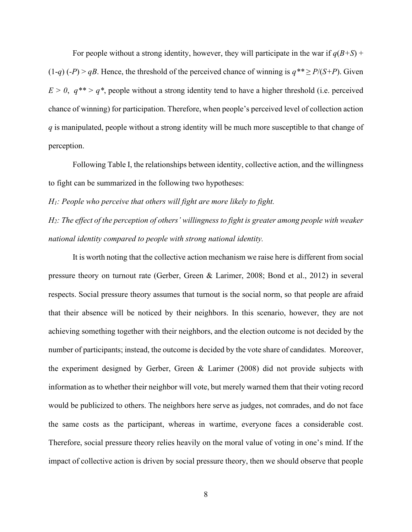For people without a strong identity, however, they will participate in the war if  $q(B+S)$  + (1-*q*) (*-P*) > *qB*. Hence, the threshold of the perceived chance of winning is  $q^{**} \ge P/(S+P)$ . Given  $E > 0$ ,  $q^{**} > q^*$ , people without a strong identity tend to have a higher threshold (i.e. perceived chance of winning) for participation. Therefore, when people's perceived level of collection action *q* is manipulated, people without a strong identity will be much more susceptible to that change of perception.

Following Table I, the relationships between identity, collective action, and the willingness to fight can be summarized in the following two hypotheses:

*H1: People who perceive that others will fight are more likely to fight.*

*H2: The effect of the perception of others' willingness to fight is greater among people with weaker national identity compared to people with strong national identity.*

It is worth noting that the collective action mechanism we raise here is different from social pressure theory on turnout rate (Gerber, Green & Larimer, 2008; Bond et al., 2012) in several respects. Social pressure theory assumes that turnout is the social norm, so that people are afraid that their absence will be noticed by their neighbors. In this scenario, however, they are not achieving something together with their neighbors, and the election outcome is not decided by the number of participants; instead, the outcome is decided by the vote share of candidates. Moreover, the experiment designed by Gerber, Green & Larimer (2008) did not provide subjects with information as to whether their neighbor will vote, but merely warned them that their voting record would be publicized to others. The neighbors here serve as judges, not comrades, and do not face the same costs as the participant, whereas in wartime, everyone faces a considerable cost. Therefore, social pressure theory relies heavily on the moral value of voting in one's mind. If the impact of collective action is driven by social pressure theory, then we should observe that people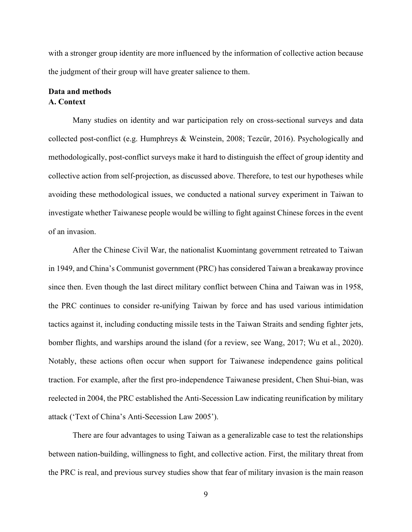with a stronger group identity are more influenced by the information of collective action because the judgment of their group will have greater salience to them.

# **Data and methods A. Context**

Many studies on identity and war participation rely on cross-sectional surveys and data collected post-conflict (e.g. Humphreys & Weinstein, 2008; Tezcür, 2016). Psychologically and methodologically, post-conflict surveys make it hard to distinguish the effect of group identity and collective action from self-projection, as discussed above. Therefore, to test our hypotheses while avoiding these methodological issues, we conducted a national survey experiment in Taiwan to investigate whether Taiwanese people would be willing to fight against Chinese forces in the event of an invasion.

After the Chinese Civil War, the nationalist Kuomintang government retreated to Taiwan in 1949, and China's Communist government (PRC) has considered Taiwan a breakaway province since then. Even though the last direct military conflict between China and Taiwan was in 1958, the PRC continues to consider re-unifying Taiwan by force and has used various intimidation tactics against it, including conducting missile tests in the Taiwan Straits and sending fighter jets, bomber flights, and warships around the island (for a review, see Wang, 2017; Wu et al., 2020). Notably, these actions often occur when support for Taiwanese independence gains political traction. For example, after the first pro-independence Taiwanese president, Chen Shui-bian, was reelected in 2004, the PRC established the Anti-Secession Law indicating reunification by military attack ('Text of China's Anti-Secession Law 2005').

There are four advantages to using Taiwan as a generalizable case to test the relationships between nation-building, willingness to fight, and collective action. First, the military threat from the PRC is real, and previous survey studies show that fear of military invasion is the main reason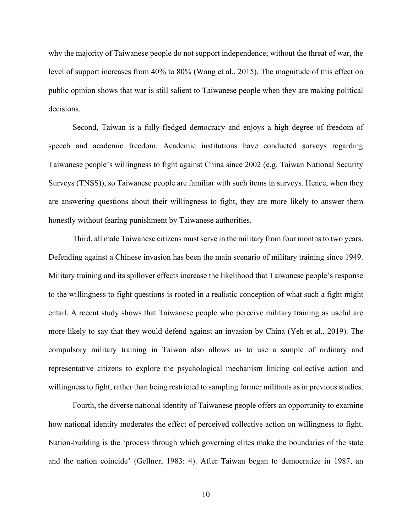why the majority of Taiwanese people do not support independence; without the threat of war, the level of support increases from 40% to 80% (Wang et al., 2015). The magnitude of this effect on public opinion shows that war is still salient to Taiwanese people when they are making political decisions.

Second, Taiwan is a fully-fledged democracy and enjoys a high degree of freedom of speech and academic freedom. Academic institutions have conducted surveys regarding Taiwanese people's willingness to fight against China since 2002 (e.g. Taiwan National Security Surveys (TNSS)), so Taiwanese people are familiar with such items in surveys. Hence, when they are answering questions about their willingness to fight, they are more likely to answer them honestly without fearing punishment by Taiwanese authorities.

Third, all male Taiwanese citizens must serve in the military from four months to two years. Defending against a Chinese invasion has been the main scenario of military training since 1949. Military training and its spillover effects increase the likelihood that Taiwanese people's response to the willingness to fight questions is rooted in a realistic conception of what such a fight might entail. A recent study shows that Taiwanese people who perceive military training as useful are more likely to say that they would defend against an invasion by China (Yeh et al., 2019). The compulsory military training in Taiwan also allows us to use a sample of ordinary and representative citizens to explore the psychological mechanism linking collective action and willingness to fight, rather than being restricted to sampling former militants as in previous studies.

Fourth, the diverse national identity of Taiwanese people offers an opportunity to examine how national identity moderates the effect of perceived collective action on willingness to fight. Nation-building is the 'process through which governing elites make the boundaries of the state and the nation coincide' (Gellner, 1983: 4). After Taiwan began to democratize in 1987, an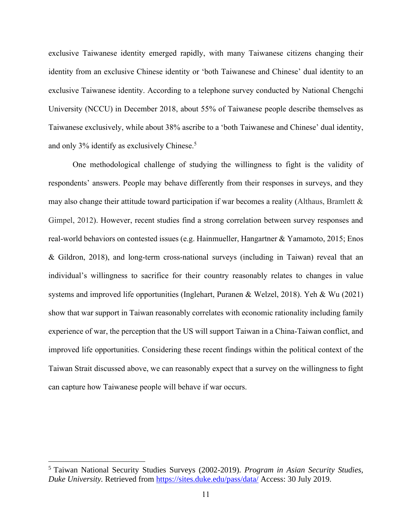exclusive Taiwanese identity emerged rapidly, with many Taiwanese citizens changing their identity from an exclusive Chinese identity or 'both Taiwanese and Chinese' dual identity to an exclusive Taiwanese identity. According to a telephone survey conducted by National Chengchi University (NCCU) in December 2018, about 55% of Taiwanese people describe themselves as Taiwanese exclusively, while about 38% ascribe to a 'both Taiwanese and Chinese' dual identity, and only 3% identify as exclusively Chinese. 5

One methodological challenge of studying the willingness to fight is the validity of respondents' answers. People may behave differently from their responses in surveys, and they may also change their attitude toward participation if war becomes a reality (Althaus, Bramlett & Gimpel, 2012). However, recent studies find a strong correlation between survey responses and real-world behaviors on contested issues (e.g. Hainmueller, Hangartner & Yamamoto, 2015; Enos & Gildron, 2018), and long-term cross-national surveys (including in Taiwan) reveal that an individual's willingness to sacrifice for their country reasonably relates to changes in value systems and improved life opportunities (Inglehart, Puranen & Welzel, 2018). Yeh & Wu (2021) show that war support in Taiwan reasonably correlates with economic rationality including family experience of war, the perception that the US will support Taiwan in a China-Taiwan conflict, and improved life opportunities. Considering these recent findings within the political context of the Taiwan Strait discussed above, we can reasonably expect that a survey on the willingness to fight can capture how Taiwanese people will behave if war occurs.

<sup>5</sup> Taiwan National Security Studies Surveys (2002-2019). *Program in Asian Security Studies, Duke University.* Retrieved from<https://sites.duke.edu/pass/data/> Access: 30 July 2019.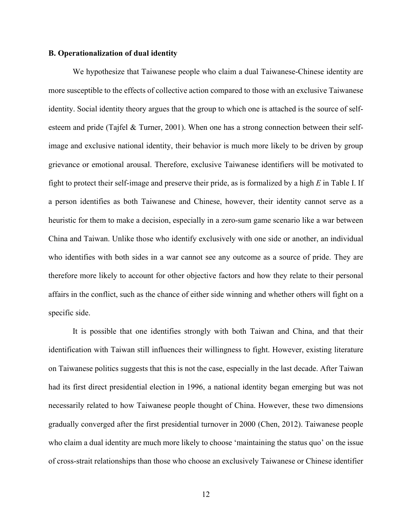#### **B. Operationalization of dual identity**

We hypothesize that Taiwanese people who claim a dual Taiwanese-Chinese identity are more susceptible to the effects of collective action compared to those with an exclusive Taiwanese identity. Social identity theory argues that the group to which one is attached is the source of selfesteem and pride (Tajfel & Turner, 2001). When one has a strong connection between their selfimage and exclusive national identity, their behavior is much more likely to be driven by group grievance or emotional arousal. Therefore, exclusive Taiwanese identifiers will be motivated to fight to protect their self-image and preserve their pride, as is formalized by a high *E* in Table I. If a person identifies as both Taiwanese and Chinese, however, their identity cannot serve as a heuristic for them to make a decision, especially in a zero-sum game scenario like a war between China and Taiwan. Unlike those who identify exclusively with one side or another, an individual who identifies with both sides in a war cannot see any outcome as a source of pride. They are therefore more likely to account for other objective factors and how they relate to their personal affairs in the conflict, such as the chance of either side winning and whether others will fight on a specific side.

It is possible that one identifies strongly with both Taiwan and China, and that their identification with Taiwan still influences their willingness to fight. However, existing literature on Taiwanese politics suggests that this is not the case, especially in the last decade. After Taiwan had its first direct presidential election in 1996, a national identity began emerging but was not necessarily related to how Taiwanese people thought of China. However, these two dimensions gradually converged after the first presidential turnover in 2000 (Chen, 2012). Taiwanese people who claim a dual identity are much more likely to choose 'maintaining the status quo' on the issue of cross-strait relationships than those who choose an exclusively Taiwanese or Chinese identifier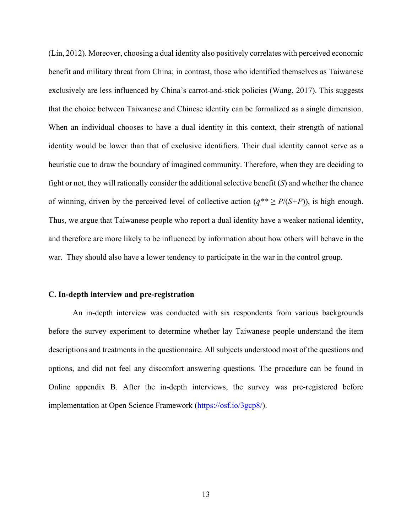(Lin, 2012). Moreover, choosing a dual identity also positively correlates with perceived economic benefit and military threat from China; in contrast, those who identified themselves as Taiwanese exclusively are less influenced by China's carrot-and-stick policies (Wang, 2017). This suggests that the choice between Taiwanese and Chinese identity can be formalized as a single dimension. When an individual chooses to have a dual identity in this context, their strength of national identity would be lower than that of exclusive identifiers. Their dual identity cannot serve as a heuristic cue to draw the boundary of imagined community. Therefore, when they are deciding to fight or not, they will rationally consider the additional selective benefit (*S*) and whether the chance of winning, driven by the perceived level of collective action  $(q^{**} \ge P/(S+P))$ , is high enough. Thus, we argue that Taiwanese people who report a dual identity have a weaker national identity, and therefore are more likely to be influenced by information about how others will behave in the war. They should also have a lower tendency to participate in the war in the control group.

#### **C. In-depth interview and pre-registration**

An in-depth interview was conducted with six respondents from various backgrounds before the survey experiment to determine whether lay Taiwanese people understand the item descriptions and treatments in the questionnaire. All subjects understood most of the questions and options, and did not feel any discomfort answering questions. The procedure can be found in Online appendix B. After the in-depth interviews, the survey was pre-registered before implementation at Open Science Framework [\(https://osf.io/3gcp8/\)](https://osf.io/3gcp8/).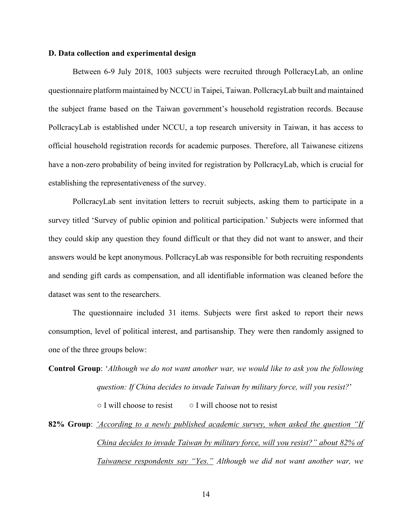## **D. Data collection and experimental design**

Between 6-9 July 2018, 1003 subjects were recruited through PollcracyLab, an online questionnaire platform maintained by NCCU in Taipei, Taiwan. PollcracyLab built and maintained the subject frame based on the Taiwan government's household registration records. Because PollcracyLab is established under NCCU, a top research university in Taiwan, it has access to official household registration records for academic purposes. Therefore, all Taiwanese citizens have a non-zero probability of being invited for registration by PollcracyLab, which is crucial for establishing the representativeness of the survey.

PollcracyLab sent invitation letters to recruit subjects, asking them to participate in a survey titled 'Survey of public opinion and political participation.' Subjects were informed that they could skip any question they found difficult or that they did not want to answer, and their answers would be kept anonymous. PollcracyLab was responsible for both recruiting respondents and sending gift cards as compensation, and all identifiable information was cleaned before the dataset was sent to the researchers.

The questionnaire included 31 items. Subjects were first asked to report their news consumption, level of political interest, and partisanship. They were then randomly assigned to one of the three groups below:

**Control Group**: '*Although we do not want another war, we would like to ask you the following question: If China decides to invade Taiwan by military force, will you resist?*'  $\circ$  I will choose to resist  $\circ$  I will choose not to resist

**82% Group**: *'According to a newly published academic survey, when asked the question "If China decides to invade Taiwan by military force, will you resist?" about 82% of Taiwanese respondents say "Yes." Although we did not want another war, we*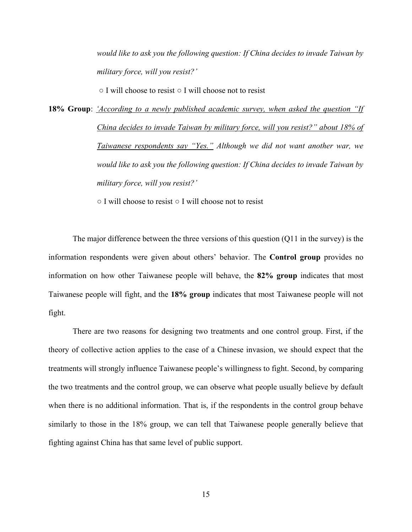*would like to ask you the following question: If China decides to invade Taiwan by military force, will you resist?'*

○ I will choose to resist ○ I will choose not to resist

**18% Group**: *'According to a newly published academic survey, when asked the question "If China decides to invade Taiwan by military force, will you resist?" about 18% of Taiwanese respondents say "Yes." Although we did not want another war, we would like to ask you the following question: If China decides to invade Taiwan by military force, will you resist?'*

○ I will choose to resist ○ I will choose not to resist

The major difference between the three versions of this question (Q11 in the survey) is the information respondents were given about others' behavior. The **Control group** provides no information on how other Taiwanese people will behave, the **82% group** indicates that most Taiwanese people will fight, and the **18% group** indicates that most Taiwanese people will not fight.

There are two reasons for designing two treatments and one control group. First, if the theory of collective action applies to the case of a Chinese invasion, we should expect that the treatments will strongly influence Taiwanese people's willingness to fight. Second, by comparing the two treatments and the control group, we can observe what people usually believe by default when there is no additional information. That is, if the respondents in the control group behave similarly to those in the 18% group, we can tell that Taiwanese people generally believe that fighting against China has that same level of public support.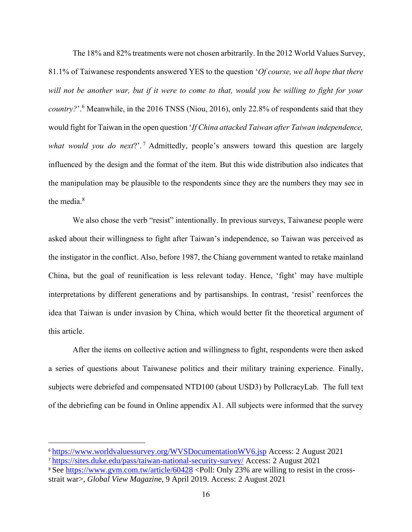The 18% and 82% treatments were not chosen arbitrarily. In the 2012 World Values Survey, 81.1% of Taiwanese respondents answered YES to the question '*Of course, we all hope that there will not be another war, but if it were to come to that, would you be willing to fight for your country?*'. <sup>6</sup> Meanwhile, in the 2016 TNSS (Niou, 2016), only 22.8% of respondents said that they would fight for Taiwan in the open question '*If China attacked Taiwan after Taiwan independence, what would you do next*?'. <sup>7</sup> Admittedly, people's answers toward this question are largely influenced by the design and the format of the item. But this wide distribution also indicates that the manipulation may be plausible to the respondents since they are the numbers they may see in the media.<sup>8</sup>

We also chose the verb "resist" intentionally. In previous surveys, Taiwanese people were asked about their willingness to fight after Taiwan's independence, so Taiwan was perceived as the instigator in the conflict. Also, before 1987, the Chiang government wanted to retake mainland China, but the goal of reunification is less relevant today. Hence, 'fight' may have multiple interpretations by different generations and by partisanships. In contrast, 'resist' reenforces the idea that Taiwan is under invasion by China, which would better fit the theoretical argument of this article.

After the items on collective action and willingness to fight, respondents were then asked a series of questions about Taiwanese politics and their military training experience. Finally, subjects were debriefed and compensated NTD100 (about USD3) by PollcracyLab. The full text of the debriefing can be found in Online appendix A1. All subjects were informed that the survey

<sup>6</sup> <https://www.worldvaluessurvey.org/WVSDocumentationWV6.jsp> Access: 2 August 2021

<sup>7</sup> <https://sites.duke.edu/pass/taiwan-national-security-survey/> Access: 2 August 2021

<sup>&</sup>lt;sup>8</sup> See<https://www.gvm.com.tw/article/60428> <Poll: Only 23% are willing to resist in the crossstrait war>, *Global View Magazin*e, 9 April 2019. Access: 2 August 2021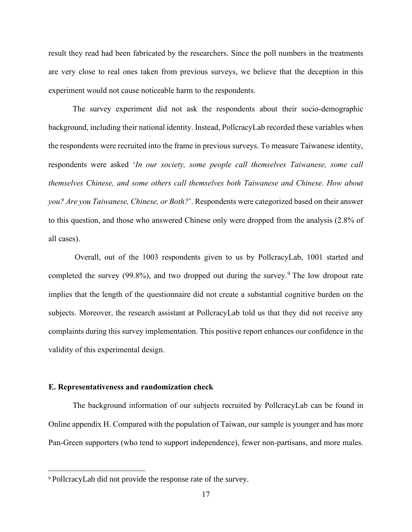result they read had been fabricated by the researchers. Since the poll numbers in the treatments are very close to real ones taken from previous surveys, we believe that the deception in this experiment would not cause noticeable harm to the respondents.

The survey experiment did not ask the respondents about their socio-demographic background, including their national identity. Instead, PollcracyLab recorded these variables when the respondents were recruited into the frame in previous surveys. To measure Taiwanese identity, respondents were asked '*In our society, some people call themselves Taiwanese, some call themselves Chinese, and some others call themselves both Taiwanese and Chinese. How about you? Are you Taiwanese, Chinese, or Both?*'. Respondents were categorized based on their answer to this question, and those who answered Chinese only were dropped from the analysis (2.8% of all cases).

Overall, out of the 1003 respondents given to us by PollcracyLab, 1001 started and completed the survey  $(99.8\%)$ , and two dropped out during the survey.<sup>9</sup> The low dropout rate implies that the length of the questionnaire did not create a substantial cognitive burden on the subjects. Moreover, the research assistant at PollcracyLab told us that they did not receive any complaints during this survey implementation. This positive report enhances our confidence in the validity of this experimental design.

#### **E. Representativeness and randomization check**

The background information of our subjects recruited by PollcracyLab can be found in Online appendix H. Compared with the population of Taiwan, our sample is younger and has more Pan-Green supporters (who tend to support independence), fewer non-partisans, and more males.

<sup>9</sup> PollcracyLab did not provide the response rate of the survey.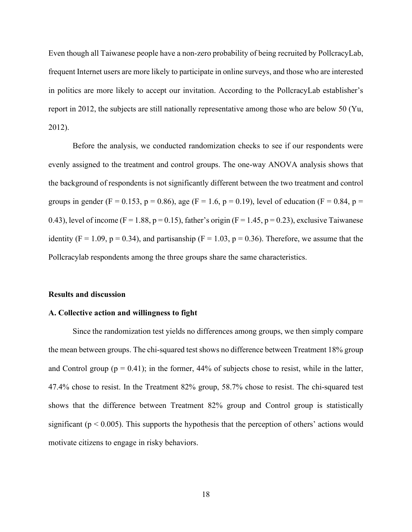Even though all Taiwanese people have a non-zero probability of being recruited by PollcracyLab, frequent Internet users are more likely to participate in online surveys, and those who are interested in politics are more likely to accept our invitation. According to the PollcracyLab establisher's report in 2012, the subjects are still nationally representative among those who are below 50 (Yu, 2012).

Before the analysis, we conducted randomization checks to see if our respondents were evenly assigned to the treatment and control groups. The one-way ANOVA analysis shows that the background of respondents is not significantly different between the two treatment and control groups in gender (F = 0.153, p = 0.86), age (F = 1.6, p = 0.19), level of education (F = 0.84, p = 0.43), level of income (F = 1.88, p = 0.15), father's origin (F = 1.45, p = 0.23), exclusive Taiwanese identity (F = 1.09, p = 0.34), and partisanship (F = 1.03, p = 0.36). Therefore, we assume that the Pollcracylab respondents among the three groups share the same characteristics.

#### **Results and discussion**

#### **A. Collective action and willingness to fight**

Since the randomization test yields no differences among groups, we then simply compare the mean between groups. The chi-squared test shows no difference between Treatment 18% group and Control group ( $p = 0.41$ ); in the former, 44% of subjects chose to resist, while in the latter, 47.4% chose to resist. In the Treatment 82% group, 58.7% chose to resist. The chi-squared test shows that the difference between Treatment 82% group and Control group is statistically significant ( $p < 0.005$ ). This supports the hypothesis that the perception of others' actions would motivate citizens to engage in risky behaviors.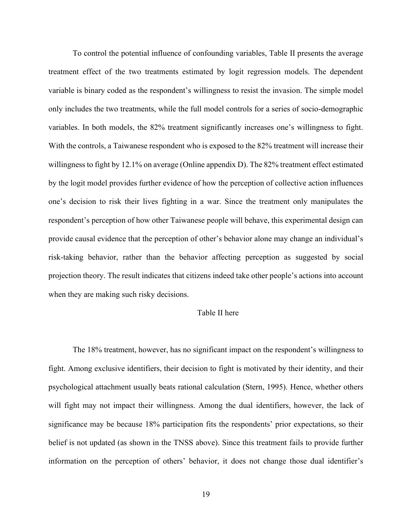To control the potential influence of confounding variables, Table II presents the average treatment effect of the two treatments estimated by logit regression models. The dependent variable is binary coded as the respondent's willingness to resist the invasion. The simple model only includes the two treatments, while the full model controls for a series of socio-demographic variables. In both models, the 82% treatment significantly increases one's willingness to fight. With the controls, a Taiwanese respondent who is exposed to the 82% treatment will increase their willingness to fight by 12.1% on average (Online appendix D). The 82% treatment effect estimated by the logit model provides further evidence of how the perception of collective action influences one's decision to risk their lives fighting in a war. Since the treatment only manipulates the respondent's perception of how other Taiwanese people will behave, this experimental design can provide causal evidence that the perception of other's behavior alone may change an individual's risk-taking behavior, rather than the behavior affecting perception as suggested by social projection theory. The result indicates that citizens indeed take other people's actions into account when they are making such risky decisions.

## Table II here

The 18% treatment, however, has no significant impact on the respondent's willingness to fight. Among exclusive identifiers, their decision to fight is motivated by their identity, and their psychological attachment usually beats rational calculation (Stern, 1995). Hence, whether others will fight may not impact their willingness. Among the dual identifiers, however, the lack of significance may be because 18% participation fits the respondents' prior expectations, so their belief is not updated (as shown in the TNSS above). Since this treatment fails to provide further information on the perception of others' behavior, it does not change those dual identifier's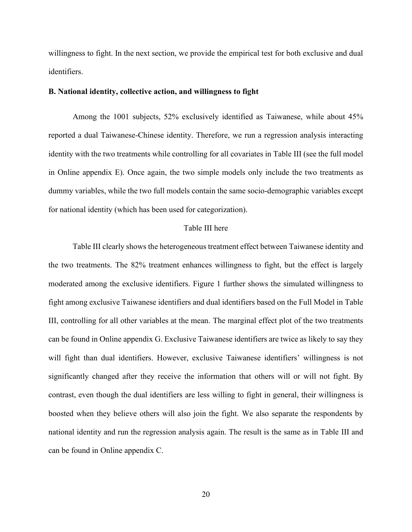willingness to fight. In the next section, we provide the empirical test for both exclusive and dual identifiers.

#### **B. National identity, collective action, and willingness to fight**

Among the 1001 subjects, 52% exclusively identified as Taiwanese, while about 45% reported a dual Taiwanese-Chinese identity. Therefore, we run a regression analysis interacting identity with the two treatments while controlling for all covariates in Table III (see the full model in Online appendix E). Once again, the two simple models only include the two treatments as dummy variables, while the two full models contain the same socio-demographic variables except for national identity (which has been used for categorization).

## Table III here

Table III clearly shows the heterogeneous treatment effect between Taiwanese identity and the two treatments. The 82% treatment enhances willingness to fight, but the effect is largely moderated among the exclusive identifiers. Figure 1 further shows the simulated willingness to fight among exclusive Taiwanese identifiers and dual identifiers based on the Full Model in Table III, controlling for all other variables at the mean. The marginal effect plot of the two treatments can be found in Online appendix G. Exclusive Taiwanese identifiers are twice as likely to say they will fight than dual identifiers. However, exclusive Taiwanese identifiers' willingness is not significantly changed after they receive the information that others will or will not fight. By contrast, even though the dual identifiers are less willing to fight in general, their willingness is boosted when they believe others will also join the fight. We also separate the respondents by national identity and run the regression analysis again. The result is the same as in Table III and can be found in Online appendix C.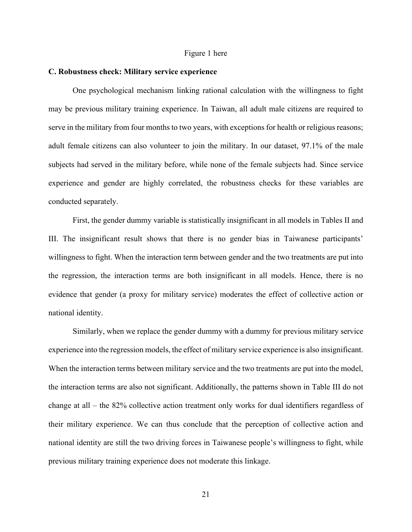#### Figure 1 here

## **C. Robustness check: Military service experience**

One psychological mechanism linking rational calculation with the willingness to fight may be previous military training experience. In Taiwan, all adult male citizens are required to serve in the military from four months to two years, with exceptions for health or religious reasons; adult female citizens can also volunteer to join the military. In our dataset, 97.1% of the male subjects had served in the military before, while none of the female subjects had. Since service experience and gender are highly correlated, the robustness checks for these variables are conducted separately.

First, the gender dummy variable is statistically insignificant in all models in Tables II and III. The insignificant result shows that there is no gender bias in Taiwanese participants' willingness to fight. When the interaction term between gender and the two treatments are put into the regression, the interaction terms are both insignificant in all models. Hence, there is no evidence that gender (a proxy for military service) moderates the effect of collective action or national identity.

Similarly, when we replace the gender dummy with a dummy for previous military service experience into the regression models, the effect of military service experience is also insignificant. When the interaction terms between military service and the two treatments are put into the model, the interaction terms are also not significant. Additionally, the patterns shown in Table III do not change at all – the 82% collective action treatment only works for dual identifiers regardless of their military experience. We can thus conclude that the perception of collective action and national identity are still the two driving forces in Taiwanese people's willingness to fight, while previous military training experience does not moderate this linkage.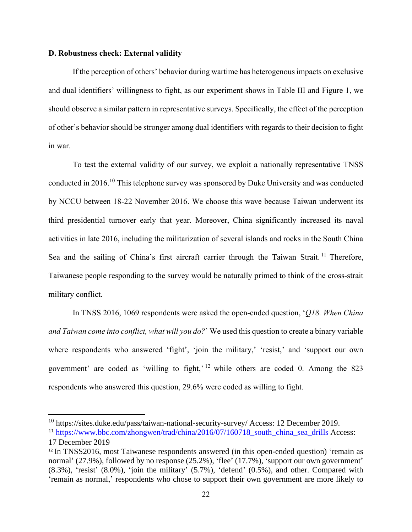## **D. Robustness check: External validity**

If the perception of others' behavior during wartime has heterogenous impacts on exclusive and dual identifiers' willingness to fight, as our experiment shows in Table III and Figure 1, we should observe a similar pattern in representative surveys. Specifically, the effect of the perception of other's behavior should be stronger among dual identifiers with regards to their decision to fight in war.

To test the external validity of our survey, we exploit a nationally representative TNSS conducted in 2016.<sup>10</sup> This telephone survey was sponsored by Duke University and was conducted by NCCU between 18-22 November 2016. We choose this wave because Taiwan underwent its third presidential turnover early that year. Moreover, China significantly increased its naval activities in late 2016, including the militarization of several islands and rocks in the South China Sea and the sailing of China's first aircraft carrier through the Taiwan Strait.<sup>11</sup> Therefore, Taiwanese people responding to the survey would be naturally primed to think of the cross-strait military conflict.

In TNSS 2016, 1069 respondents were asked the open-ended question, '*Q18. When China and Taiwan come into conflict, what will you do?*' We used this question to create a binary variable where respondents who answered 'fight', 'join the military,' 'resist,' and 'support our own government' are coded as 'willing to fight,' <sup>12</sup> while others are coded 0. Among the 823 respondents who answered this question, 29.6% were coded as willing to fight.

<sup>10</sup> https://sites.duke.edu/pass/taiwan-national-security-survey/ Access: 12 December 2019.

<sup>&</sup>lt;sup>11</sup> [https://www.bbc.com/zhongwen/trad/china/2016/07/160718\\_south\\_china\\_sea\\_drills](https://www.bbc.com/zhongwen/trad/china/2016/07/160718_south_china_sea_drills) Access: 17 December 2019

<sup>&</sup>lt;sup>12</sup> In TNSS2016, most Taiwanese respondents answered (in this open-ended question) 'remain as normal' (27.9%), followed by no response (25.2%), 'flee' (17.7%), 'support our own government'  $(8.3\%)$ , 'resist'  $(8.0\%)$ , 'join the military'  $(5.7\%)$ , 'defend'  $(0.5\%)$ , and other. Compared with 'remain as normal,' respondents who chose to support their own government are more likely to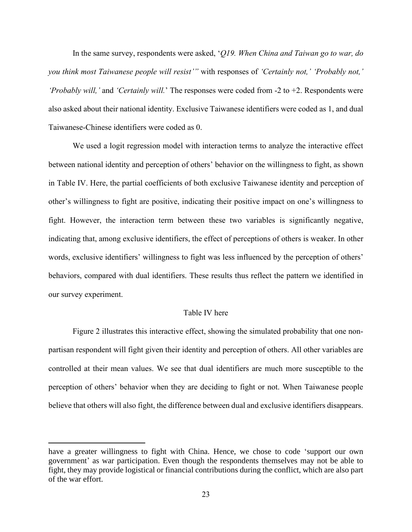In the same survey, respondents were asked, '*Q19. When China and Taiwan go to war, do you think most Taiwanese people will resist'"* with responses of *'Certainly not,' 'Probably not,' 'Probably will,'* and *'Certainly will.*' The responses were coded from -2 to +2. Respondents were also asked about their national identity. Exclusive Taiwanese identifiers were coded as 1, and dual Taiwanese-Chinese identifiers were coded as 0.

We used a logit regression model with interaction terms to analyze the interactive effect between national identity and perception of others' behavior on the willingness to fight, as shown in Table IV. Here, the partial coefficients of both exclusive Taiwanese identity and perception of other's willingness to fight are positive, indicating their positive impact on one's willingness to fight. However, the interaction term between these two variables is significantly negative, indicating that, among exclusive identifiers, the effect of perceptions of others is weaker. In other words, exclusive identifiers' willingness to fight was less influenced by the perception of others' behaviors, compared with dual identifiers. These results thus reflect the pattern we identified in our survey experiment.

## Table IV here

Figure 2 illustrates this interactive effect, showing the simulated probability that one nonpartisan respondent will fight given their identity and perception of others. All other variables are controlled at their mean values. We see that dual identifiers are much more susceptible to the perception of others' behavior when they are deciding to fight or not. When Taiwanese people believe that others will also fight, the difference between dual and exclusive identifiers disappears.

have a greater willingness to fight with China. Hence, we chose to code 'support our own government' as war participation. Even though the respondents themselves may not be able to fight, they may provide logistical or financial contributions during the conflict, which are also part of the war effort.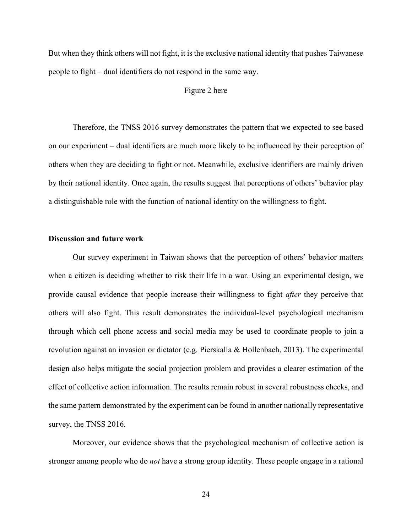But when they think others will not fight, it is the exclusive national identity that pushes Taiwanese people to fight – dual identifiers do not respond in the same way.

#### Figure 2 here

Therefore, the TNSS 2016 survey demonstrates the pattern that we expected to see based on our experiment – dual identifiers are much more likely to be influenced by their perception of others when they are deciding to fight or not. Meanwhile, exclusive identifiers are mainly driven by their national identity. Once again, the results suggest that perceptions of others' behavior play a distinguishable role with the function of national identity on the willingness to fight.

## **Discussion and future work**

Our survey experiment in Taiwan shows that the perception of others' behavior matters when a citizen is deciding whether to risk their life in a war. Using an experimental design, we provide causal evidence that people increase their willingness to fight *after* they perceive that others will also fight. This result demonstrates the individual-level psychological mechanism through which cell phone access and social media may be used to coordinate people to join a revolution against an invasion or dictator (e.g. Pierskalla & Hollenbach, 2013). The experimental design also helps mitigate the social projection problem and provides a clearer estimation of the effect of collective action information. The results remain robust in several robustness checks, and the same pattern demonstrated by the experiment can be found in another nationally representative survey, the TNSS 2016.

Moreover, our evidence shows that the psychological mechanism of collective action is stronger among people who do *not* have a strong group identity. These people engage in a rational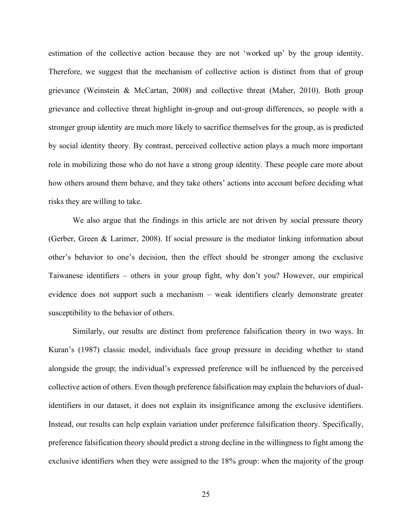estimation of the collective action because they are not 'worked up' by the group identity. Therefore, we suggest that the mechanism of collective action is distinct from that of group grievance (Weinstein & McCartan, 2008) and collective threat (Maher, 2010). Both group grievance and collective threat highlight in-group and out-group differences, so people with a stronger group identity are much more likely to sacrifice themselves for the group, as is predicted by social identity theory. By contrast, perceived collective action plays a much more important role in mobilizing those who do not have a strong group identity. These people care more about how others around them behave, and they take others' actions into account before deciding what risks they are willing to take.

We also argue that the findings in this article are not driven by social pressure theory (Gerber, Green & Larimer, 2008). If social pressure is the mediator linking information about other's behavior to one's decision, then the effect should be stronger among the exclusive Taiwanese identifiers – others in your group fight, why don't you? However, our empirical evidence does not support such a mechanism – weak identifiers clearly demonstrate greater susceptibility to the behavior of others.

Similarly, our results are distinct from preference falsification theory in two ways. In Kuran's (1987) classic model, individuals face group pressure in deciding whether to stand alongside the group; the individual's expressed preference will be influenced by the perceived collective action of others. Even though preference falsification may explain the behaviors of dualidentifiers in our dataset, it does not explain its insignificance among the exclusive identifiers. Instead, our results can help explain variation under preference falsification theory. Specifically, preference falsification theory should predict a strong decline in the willingness to fight among the exclusive identifiers when they were assigned to the 18% group: when the majority of the group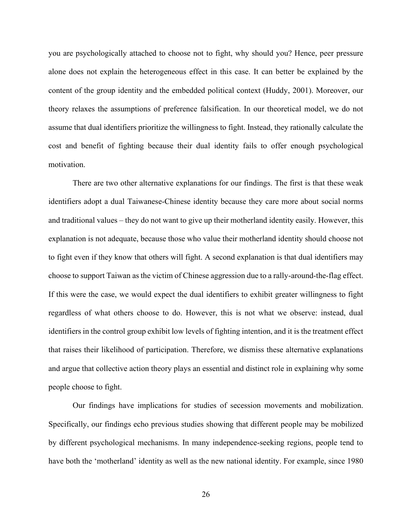you are psychologically attached to choose not to fight, why should you? Hence, peer pressure alone does not explain the heterogeneous effect in this case. It can better be explained by the content of the group identity and the embedded political context (Huddy, 2001). Moreover, our theory relaxes the assumptions of preference falsification. In our theoretical model, we do not assume that dual identifiers prioritize the willingness to fight. Instead, they rationally calculate the cost and benefit of fighting because their dual identity fails to offer enough psychological motivation.

There are two other alternative explanations for our findings. The first is that these weak identifiers adopt a dual Taiwanese-Chinese identity because they care more about social norms and traditional values – they do not want to give up their motherland identity easily. However, this explanation is not adequate, because those who value their motherland identity should choose not to fight even if they know that others will fight. A second explanation is that dual identifiers may choose to support Taiwan as the victim of Chinese aggression due to a rally-around-the-flag effect. If this were the case, we would expect the dual identifiers to exhibit greater willingness to fight regardless of what others choose to do. However, this is not what we observe: instead, dual identifiers in the control group exhibit low levels of fighting intention, and it is the treatment effect that raises their likelihood of participation. Therefore, we dismiss these alternative explanations and argue that collective action theory plays an essential and distinct role in explaining why some people choose to fight.

Our findings have implications for studies of secession movements and mobilization. Specifically, our findings echo previous studies showing that different people may be mobilized by different psychological mechanisms. In many independence-seeking regions, people tend to have both the 'motherland' identity as well as the new national identity. For example, since 1980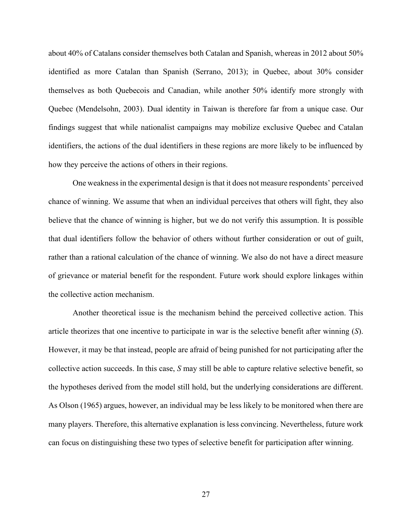about 40% of Catalans consider themselves both Catalan and Spanish, whereas in 2012 about 50% identified as more Catalan than Spanish (Serrano, 2013); in Quebec, about 30% consider themselves as both Quebecois and Canadian, while another 50% identify more strongly with Quebec (Mendelsohn, 2003). Dual identity in Taiwan is therefore far from a unique case. Our findings suggest that while nationalist campaigns may mobilize exclusive Quebec and Catalan identifiers, the actions of the dual identifiers in these regions are more likely to be influenced by how they perceive the actions of others in their regions.

One weakness in the experimental design is that it does not measure respondents' perceived chance of winning. We assume that when an individual perceives that others will fight, they also believe that the chance of winning is higher, but we do not verify this assumption. It is possible that dual identifiers follow the behavior of others without further consideration or out of guilt, rather than a rational calculation of the chance of winning. We also do not have a direct measure of grievance or material benefit for the respondent. Future work should explore linkages within the collective action mechanism.

Another theoretical issue is the mechanism behind the perceived collective action. This article theorizes that one incentive to participate in war is the selective benefit after winning (*S*). However, it may be that instead, people are afraid of being punished for not participating after the collective action succeeds. In this case, *S* may still be able to capture relative selective benefit, so the hypotheses derived from the model still hold, but the underlying considerations are different. As Olson (1965) argues, however, an individual may be less likely to be monitored when there are many players. Therefore, this alternative explanation is less convincing. Nevertheless, future work can focus on distinguishing these two types of selective benefit for participation after winning.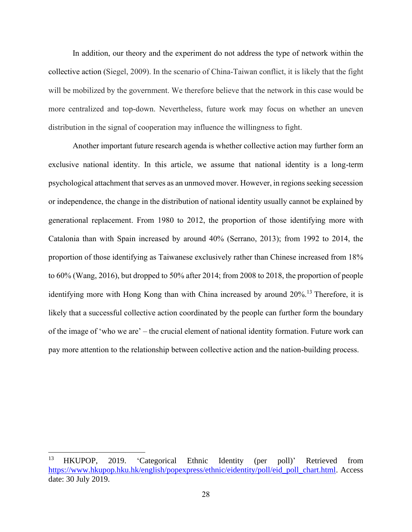In addition, our theory and the experiment do not address the type of network within the collective action (Siegel, 2009). In the scenario of China-Taiwan conflict, it is likely that the fight will be mobilized by the government. We therefore believe that the network in this case would be more centralized and top-down. Nevertheless, future work may focus on whether an uneven distribution in the signal of cooperation may influence the willingness to fight.

Another important future research agenda is whether collective action may further form an exclusive national identity. In this article, we assume that national identity is a long-term psychological attachment that serves as an unmoved mover. However, in regions seeking secession or independence, the change in the distribution of national identity usually cannot be explained by generational replacement. From 1980 to 2012, the proportion of those identifying more with Catalonia than with Spain increased by around 40% (Serrano, 2013); from 1992 to 2014, the proportion of those identifying as Taiwanese exclusively rather than Chinese increased from 18% to 60% (Wang, 2016), but dropped to 50% after 2014; from 2008 to 2018, the proportion of people identifying more with Hong Kong than with China increased by around 20%.<sup>13</sup> Therefore, it is likely that a successful collective action coordinated by the people can further form the boundary of the image of 'who we are' – the crucial element of national identity formation. Future work can pay more attention to the relationship between collective action and the nation-building process.

<sup>13</sup> HKUPOP, 2019. 'Categorical Ethnic Identity (per poll)' Retrieved from [https://www.hkupop.hku.hk/english/popexpress/ethnic/eidentity/poll/eid\\_poll\\_chart.html.](https://www.hkupop.hku.hk/english/popexpress/ethnic/eidentity/poll/eid_poll_chart.html) Access date: 30 July 2019.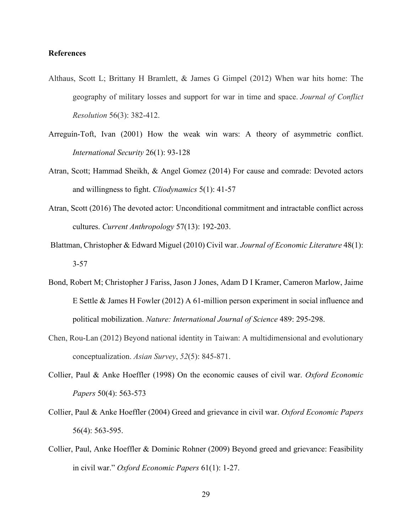# **References**

- Althaus, Scott L; Brittany H Bramlett, & James G Gimpel (2012) When war hits home: The geography of military losses and support for war in time and space. *Journal of Conflict Resolution* 56(3): 382-412.
- Arreguín-Toft, Ivan (2001) How the weak win wars: A theory of asymmetric conflict. *International Security* 26(1): 93-128
- Atran, Scott; Hammad Sheikh, & Angel Gomez (2014) For cause and comrade: Devoted actors and willingness to fight. *Cliodynamics* 5(1): 41-57
- Atran, Scott (2016) The devoted actor: Unconditional commitment and intractable conflict across cultures. *Current Anthropology* 57(13): 192-203.
- Blattman, Christopher & Edward Miguel (2010) Civil war. *Journal of Economic Literature* 48(1): 3-57
- Bond, Robert M; Christopher J Fariss, Jason J Jones, Adam D I Kramer, Cameron Marlow, Jaime E Settle & James H Fowler (2012) A 61-million person experiment in social influence and political mobilization. *Nature: International Journal of Science* 489: 295-298.
- Chen, Rou-Lan (2012) Beyond national identity in Taiwan: A multidimensional and evolutionary conceptualization. *Asian Survey*, *52*(5): 845-871.
- Collier, Paul & Anke Hoeffler (1998) On the economic causes of civil war. *Oxford Economic Papers* 50(4): 563-573
- Collier, Paul & Anke Hoeffler (2004) Greed and grievance in civil war. *Oxford Economic Papers*  56(4): 563-595.
- Collier, Paul, Anke Hoeffler & Dominic Rohner (2009) Beyond greed and grievance: Feasibility in civil war." *Oxford Economic Papers* 61(1): 1-27.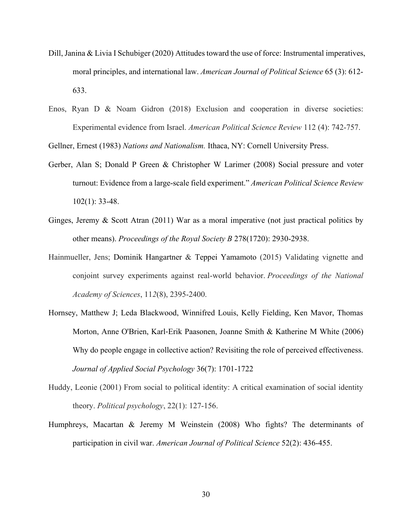- Dill, Janina & Livia I Schubiger (2020) Attitudes toward the use of force: Instrumental imperatives, moral principles, and international law. *American Journal of Political Science* 65 (3): 612- 633.
- Enos, Ryan D & Noam Gidron (2018) Exclusion and cooperation in diverse societies: Experimental evidence from Israel. *American Political Science Review* 112 (4): 742-757.

Gellner, Ernest (1983) *Nations and Nationalism.* Ithaca, NY: Cornell University Press.

- Gerber, Alan S; Donald P Green & Christopher W Larimer (2008) Social pressure and voter turnout: Evidence from a large-scale field experiment." *American Political Science Review*  102(1): 33-48.
- Ginges, Jeremy & Scott Atran (2011) War as a moral imperative (not just practical politics by other means). *Proceedings of the Royal Society B* 278(1720): 2930-2938.
- Hainmueller, Jens; Dominik Hangartner & Teppei Yamamoto (2015) Validating vignette and conjoint survey experiments against real-world behavior. *Proceedings of the National Academy of Sciences*, 11*2*(8), 2395-2400.
- Hornsey, Matthew J; Leda Blackwood, Winnifred Louis, Kelly Fielding, Ken Mavor, Thomas Morton, Anne O'Brien, Karl‐Erik Paasonen, Joanne Smith & Katherine M White (2006) Why do people engage in collective action? Revisiting the role of perceived effectiveness. *Journal of Applied Social Psychology* 36(7): 1701-1722
- Huddy, Leonie (2001) From social to political identity: A critical examination of social identity theory. *Political psychology*, 22(1): 127-156.
- Humphreys, Macartan & Jeremy M Weinstein (2008) Who fights? The determinants of participation in civil war. *American Journal of Political Science* 52(2): 436-455.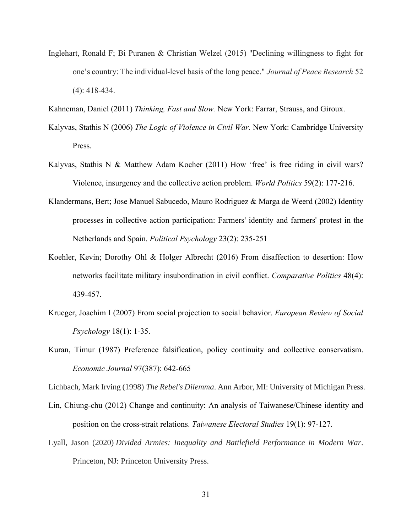- Inglehart, Ronald F; Bi Puranen & Christian Welzel (2015) "Declining willingness to fight for one's country: The individual-level basis of the long peace." *Journal of Peace Research* 52 (4): 418-434.
- Kahneman, Daniel (2011) *Thinking, Fast and Slow.* New York: Farrar, Strauss, and Giroux.
- Kalyvas, Stathis N (2006) *The Logic of Violence in Civil War.* New York: Cambridge University Press.
- Kalyvas, Stathis N & Matthew Adam Kocher (2011) How 'free' is free riding in civil wars? Violence, insurgency and the collective action problem. *World Politics* 59(2): 177-216.
- Klandermans, Bert; Jose Manuel Sabucedo, Mauro Rodriguez & Marga de Weerd (2002) Identity processes in collective action participation: Farmers' identity and farmers' protest in the Netherlands and Spain. *Political Psychology* 23(2): 235-251
- Koehler, Kevin; Dorothy Ohl & Holger Albrecht (2016) From disaffection to desertion: How networks facilitate military insubordination in civil conflict. *Comparative Politics* 48(4): 439-457.
- Krueger, Joachim I (2007) From social projection to social behavior. *European Review of Social Psychology* 18(1): 1-35.
- Kuran, Timur (1987) Preference falsification, policy continuity and collective conservatism. *Economic Journal* 97(387): 642-665

Lichbach, Mark Irving (1998) *The Rebel's Dilemma*. Ann Arbor, MI: University of Michigan Press.

- Lin, Chiung-chu (2012) Change and continuity: An analysis of Taiwanese/Chinese identity and position on the cross-strait relations. *Taiwanese Electoral Studies* 19(1): 97-127.
- Lyall, Jason (2020) *Divided Armies: Inequality and Battlefield Performance in Modern War*. Princeton, NJ: Princeton University Press.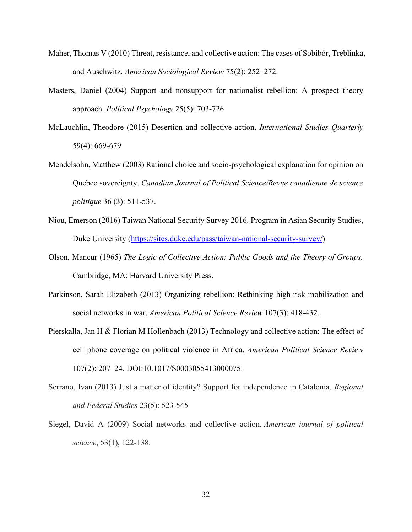- Maher, Thomas V (2010) Threat, resistance, and collective action: The cases of Sobibór, Treblinka, and Auschwitz. *American Sociological Review* 75(2): 252–272.
- Masters, Daniel (2004) Support and nonsupport for nationalist rebellion: A prospect theory approach. *Political Psychology* 25(5): 703-726
- McLauchlin, Theodore (2015) Desertion and collective action. *International Studies Quarterly*  59(4): 669-679
- Mendelsohn, Matthew (2003) Rational choice and socio-psychological explanation for opinion on Quebec sovereignty. *Canadian Journal of Political Science/Revue canadienne de science politique* 36 (3): 511-537.
- Niou, Emerson (2016) Taiwan National Security Survey 2016. Program in Asian Security Studies, Duke University [\(https://sites.duke.edu/pass/taiwan-national-security-survey/\)](https://sites.duke.edu/pass/taiwan-national-security-survey/)
- Olson, Mancur (1965) *The Logic of Collective Action: Public Goods and the Theory of Groups.*  Cambridge, MA: Harvard University Press.
- Parkinson, Sarah Elizabeth (2013) Organizing rebellion: Rethinking high-risk mobilization and social networks in war. *American Political Science Review* 107(3): 418-432.
- Pierskalla, Jan H & Florian M Hollenbach (2013) Technology and collective action: The effect of cell phone coverage on political violence in Africa. *American Political Science Review* 107(2): 207–24. DOI:10.1017/S0003055413000075.
- Serrano, Ivan (2013) Just a matter of identity? Support for independence in Catalonia. *Regional and Federal Studies* 23(5): 523-545
- Siegel, David A (2009) Social networks and collective action. *American journal of political science*, 53(1), 122-138.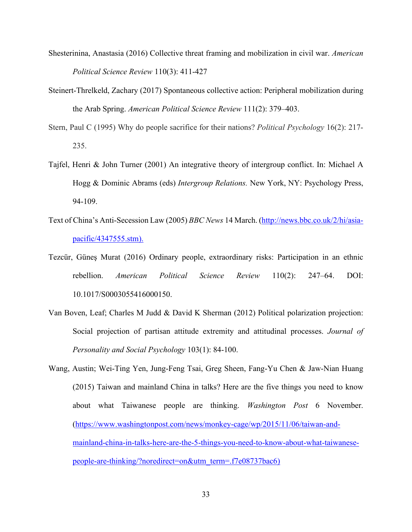- Shesterinina, Anastasia (2016) Collective threat framing and mobilization in civil war. *American Political Science Review* 110(3): 411-427
- Steinert-Threlkeld, Zachary (2017) Spontaneous collective action: Peripheral mobilization during the Arab Spring. *American Political Science Review* 111(2): 379–403.
- Stern, Paul C (1995) Why do people sacrifice for their nations? *Political Psychology* 16(2): 217- 235.
- Tajfel, Henri & John Turner (2001) An integrative theory of intergroup conflict. In: Michael A Hogg & Dominic Abrams (eds) *Intergroup Relations.* New York, NY: Psychology Press, 94-109.
- Text of China's Anti-Secession Law (2005) *BBC News* 14 March. [\(http://news.bbc.co.uk/2/hi/asia](http://news.bbc.co.uk/2/hi/asia-pacific/4347555.stm)[pacific/4347555.stm\)](http://news.bbc.co.uk/2/hi/asia-pacific/4347555.stm).
- Tezcür, Güneş Murat (2016) Ordinary people, extraordinary risks: Participation in an ethnic rebellion. *American Political Science Review* 110(2): 247–64. DOI: 10.1017/S0003055416000150.
- Van Boven, Leaf; Charles M Judd & David K Sherman (2012) Political polarization projection: Social projection of partisan attitude extremity and attitudinal processes. *Journal of Personality and Social Psychology* 103(1): 84-100.
- Wang, Austin; Wei-Ting Yen, Jung-Feng Tsai, Greg Sheen, Fang-Yu Chen & Jaw-Nian Huang (2015) Taiwan and mainland China in talks? Here are the five things you need to know about what Taiwanese people are thinking. *Washington Post* 6 November. [\(https://www.washingtonpost.com/news/monkey-cage/wp/2015/11/06/taiwan-and](https://www.washingtonpost.com/news/monkey-cage/wp/2015/11/06/taiwan-and-mainland-china-in-talks-here-are-the-5-things-you-need-to-know-about-what-taiwanese-people-are-thinking/?noredirect=on&utm_term=.f7e08737bac6)[mainland-china-in-talks-here-are-the-5-things-you-need-to-know-about-what-taiwanese](https://www.washingtonpost.com/news/monkey-cage/wp/2015/11/06/taiwan-and-mainland-china-in-talks-here-are-the-5-things-you-need-to-know-about-what-taiwanese-people-are-thinking/?noredirect=on&utm_term=.f7e08737bac6)[people-are-thinking/?noredirect=on&utm\\_term=.f7e08737bac6\)](https://www.washingtonpost.com/news/monkey-cage/wp/2015/11/06/taiwan-and-mainland-china-in-talks-here-are-the-5-things-you-need-to-know-about-what-taiwanese-people-are-thinking/?noredirect=on&utm_term=.f7e08737bac6)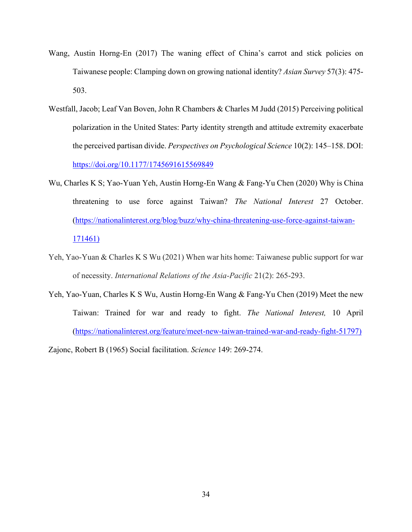- Wang, Austin Horng-En (2017) The waning effect of China's carrot and stick policies on Taiwanese people: Clamping down on growing national identity? *Asian Survey* 57(3): 475- 503.
- Westfall, Jacob; Leaf Van Boven, John R Chambers & Charles M Judd (2015) Perceiving political polarization in the United States: Party identity strength and attitude extremity exacerbate the perceived partisan divide. *Perspectives on Psychological Science* 10(2): 145–158. DOI: <https://doi.org/10.1177/1745691615569849>
- Wu, Charles K S; Yao-Yuan Yeh, Austin Horng-En Wang & Fang-Yu Chen (2020) Why is China threatening to use force against Taiwan? *The National Interest* 27 October. [\(https://nationalinterest.org/blog/buzz/why-china-threatening-use-force-against-taiwan-](https://nationalinterest.org/blog/buzz/why-china-threatening-use-force-against-taiwan-171461)[171461\)](https://nationalinterest.org/blog/buzz/why-china-threatening-use-force-against-taiwan-171461)
- Yeh, Yao-Yuan & Charles K S Wu (2021) When war hits home: Taiwanese public support for war of necessity. *International Relations of the Asia-Pacific* 21(2): 265-293.
- Yeh, Yao-Yuan, Charles K S Wu, Austin Horng-En Wang & Fang-Yu Chen (2019) Meet the new Taiwan: Trained for war and ready to fight. *The National Interest,* 10 April [\(https://nationalinterest.org/feature/meet-new-taiwan-trained-war-and-ready-fight-51797\)](https://nationalinterest.org/feature/meet-new-taiwan-trained-war-and-ready-fight-51797)

Zajonc, Robert B (1965) Social facilitation. *Science* 149: 269-274.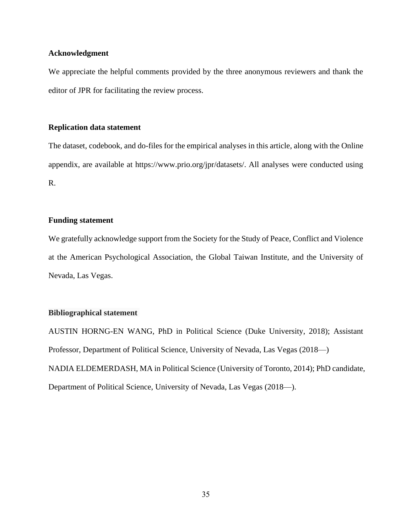## **Acknowledgment**

We appreciate the helpful comments provided by the three anonymous reviewers and thank the editor of JPR for facilitating the review process.

## **Replication data statement**

The dataset, codebook, and do-files for the empirical analyses in this article, along with the Online appendix, are available at https://www.prio.org/jpr/datasets/. All analyses were conducted using R.

## **Funding statement**

We gratefully acknowledge support from the Society for the Study of Peace, Conflict and Violence at the American Psychological Association, the Global Taiwan Institute, and the University of Nevada, Las Vegas.

## **Bibliographical statement**

AUSTIN HORNG-EN WANG, PhD in Political Science (Duke University, 2018); Assistant Professor, Department of Political Science, University of Nevada, Las Vegas (2018—) NADIA ELDEMERDASH, MA in Political Science (University of Toronto, 2014); PhD candidate, Department of Political Science, University of Nevada, Las Vegas (2018—).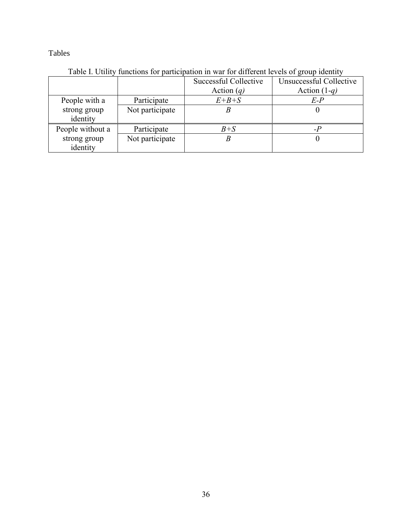Tables

|                          |                 | Successful Collective | Unsuccessful Collective |
|--------------------------|-----------------|-----------------------|-------------------------|
|                          |                 | Action $(q)$          | Action $(1-q)$          |
| People with a            | Participate     | $E + B + S$           | $E-P$                   |
| strong group<br>identity | Not participate |                       |                         |
| People without a         | Participate     | $B + S$               |                         |
| strong group             | Not participate |                       |                         |
| identity                 |                 |                       |                         |

Table I. Utility functions for participation in war for different levels of group identity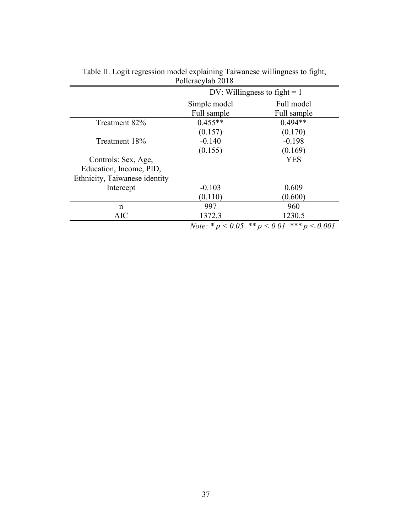|                               | DV: Willingness to fight $= 1$          |                 |
|-------------------------------|-----------------------------------------|-----------------|
|                               | Simple model                            | Full model      |
|                               | Full sample                             | Full sample     |
| Treatment 82%                 | $0.455**$                               | $0.494**$       |
|                               | (0.157)                                 | (0.170)         |
| Treatment 18%                 | $-0.140$                                | $-0.198$        |
|                               | (0.155)                                 | (0.169)         |
| Controls: Sex, Age,           |                                         | <b>YES</b>      |
| Education, Income, PID,       |                                         |                 |
| Ethnicity, Taiwanese identity |                                         |                 |
| Intercept                     | $-0.103$                                | 0.609           |
|                               | (0.110)                                 | (0.600)         |
| n                             | 997                                     | 960             |
| <b>AIC</b>                    | 1372.3                                  | 1230.5          |
|                               | <i>Note:</i> * $p < 0.05$ ** $p < 0.01$ | *** $p < 0.001$ |

Table II. Logit regression model explaining Taiwanese willingness to fight, Pollcracylab 2018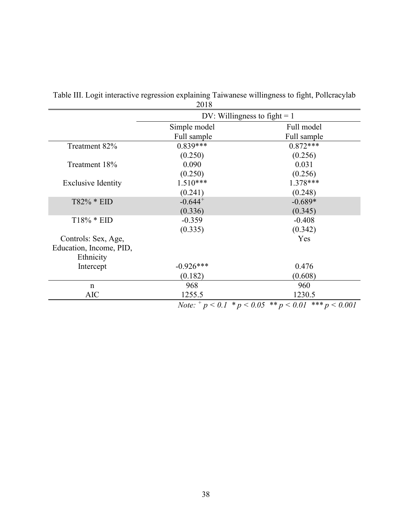|                           | DV: Willingness to fight $= 1$                      |                 |  |
|---------------------------|-----------------------------------------------------|-----------------|--|
|                           | Simple model                                        | Full model      |  |
|                           | Full sample                                         | Full sample     |  |
| Treatment 82%             | $0.839***$                                          | $0.872***$      |  |
|                           | (0.250)                                             | (0.256)         |  |
| Treatment 18%             | 0.090                                               | 0.031           |  |
|                           | (0.250)                                             | (0.256)         |  |
| <b>Exclusive Identity</b> | $1.510***$                                          | $1.378***$      |  |
|                           | (0.241)                                             | (0.248)         |  |
| T82% * EID                | $-0.644$ <sup>+</sup>                               | $-0.689*$       |  |
|                           | (0.336)                                             | (0.345)         |  |
| T18% * EID                | $-0.359$                                            | $-0.408$        |  |
|                           | (0.335)                                             | (0.342)         |  |
| Controls: Sex, Age,       |                                                     | Yes             |  |
| Education, Income, PID,   |                                                     |                 |  |
| Ethnicity                 |                                                     |                 |  |
| Intercept                 | $-0.926***$                                         | 0.476           |  |
|                           | (0.182)                                             | (0.608)         |  |
| $\mathbf n$               | 968                                                 | 960             |  |
| <b>AIC</b>                | 1255.5                                              | 1230.5          |  |
|                           | <i>Note:</i> $^+p < 0.1$ * $p < 0.05$ ** $p < 0.01$ | *** $p < 0.001$ |  |

Table III. Logit interactive regression explaining Taiwanese willingness to fight, Pollcracylab 2018

38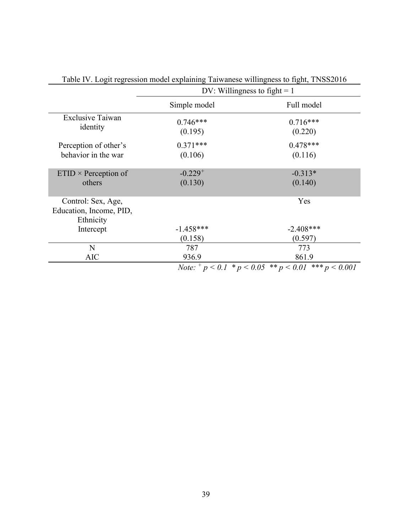|                                                            | DV: Willingness to fight $= 1$                      |                        |  |
|------------------------------------------------------------|-----------------------------------------------------|------------------------|--|
|                                                            | Simple model                                        | Full model             |  |
| <b>Exclusive Taiwan</b><br>identity                        | $0.746***$<br>(0.195)                               | $0.716***$<br>(0.220)  |  |
| Perception of other's<br>behavior in the war               | $0.371***$<br>(0.106)                               | $0.478***$<br>(0.116)  |  |
| $ETID \times Perception of$<br>others                      | $-0.229$ <sup>+</sup><br>(0.130)                    | $-0.313*$<br>(0.140)   |  |
| Control: Sex, Age,<br>Education, Income, PID,<br>Ethnicity |                                                     | Yes                    |  |
| Intercept                                                  | $-1.458***$<br>(0.158)                              | $-2.408***$<br>(0.597) |  |
| N<br><b>AIC</b>                                            | 787<br>936.9                                        | 773<br>861.9           |  |
|                                                            | <i>Note:</i> $^+p < 0.1$ * $p < 0.05$ ** $p < 0.01$ | *** $p < 0.001$        |  |

Table IV. Logit regression model explaining Taiwanese willingness to fight, TNSS2016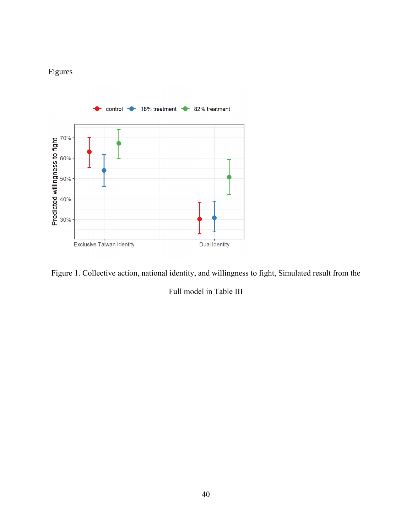# Figures